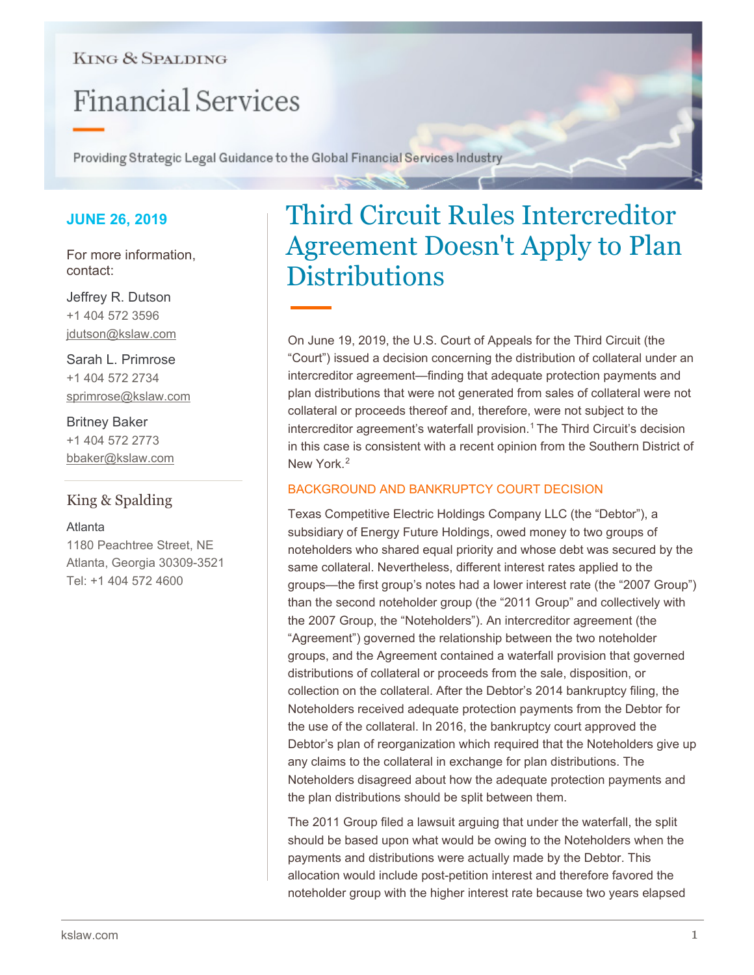## **KING & SPALDING**

# **Financial Services**

Providing Strategic Legal Guidance to the Global Financial Services Industry

## **JUNE 26, 2019**

For more information, contact:

Jeffrey R. Dutson +1 404 572 3596 jdutson@kslaw.com

Sarah L. Primrose +1 404 572 2734 sprimrose@kslaw.com

Britney Baker +1 404 572 2773 bbaker@kslaw.com

## King & Spalding

### Atlanta

1180 Peachtree Street, NE Atlanta, Georgia 30309-3521 Tel: +1 404 572 4600

## Third Circuit Rules Intercreditor Agreement Doesn't Apply to Plan **Distributions**

On June 19, 2019, the U.S. Court of Appeals for the Third Circuit (the "Court") issued a decision concerning the distribution of collateral under an intercreditor agreement—finding that adequate protection payments and plan distributions that were not generated from sales of collateral were not collateral or proceeds thereof and, therefore, were not subject to the intercreditor agreement's waterfall provision. [1](#page-2-0) The Third Circuit's decision in this case is consistent with a recent opinion from the Southern District of New York<sup>2</sup>

## BACKGROUND AND BANKRUPTCY COURT DECISION

Texas Competitive Electric Holdings Company LLC (the "Debtor"), a subsidiary of Energy Future Holdings, owed money to two groups of noteholders who shared equal priority and whose debt was secured by the same collateral. Nevertheless, different interest rates applied to the groups—the first group's notes had a lower interest rate (the "2007 Group") than the second noteholder group (the "2011 Group" and collectively with the 2007 Group, the "Noteholders"). An intercreditor agreement (the "Agreement") governed the relationship between the two noteholder groups, and the Agreement contained a waterfall provision that governed distributions of collateral or proceeds from the sale, disposition, or collection on the collateral. After the Debtor's 2014 bankruptcy filing, the Noteholders received adequate protection payments from the Debtor for the use of the collateral. In 2016, the bankruptcy court approved the Debtor's plan of reorganization which required that the Noteholders give up any claims to the collateral in exchange for plan distributions. The Noteholders disagreed about how the adequate protection payments and the plan distributions should be split between them.

The 2011 Group filed a lawsuit arguing that under the waterfall, the split should be based upon what would be owing to the Noteholders when the payments and distributions were actually made by the Debtor. This allocation would include post-petition interest and therefore favored the noteholder group with the higher interest rate because two years elapsed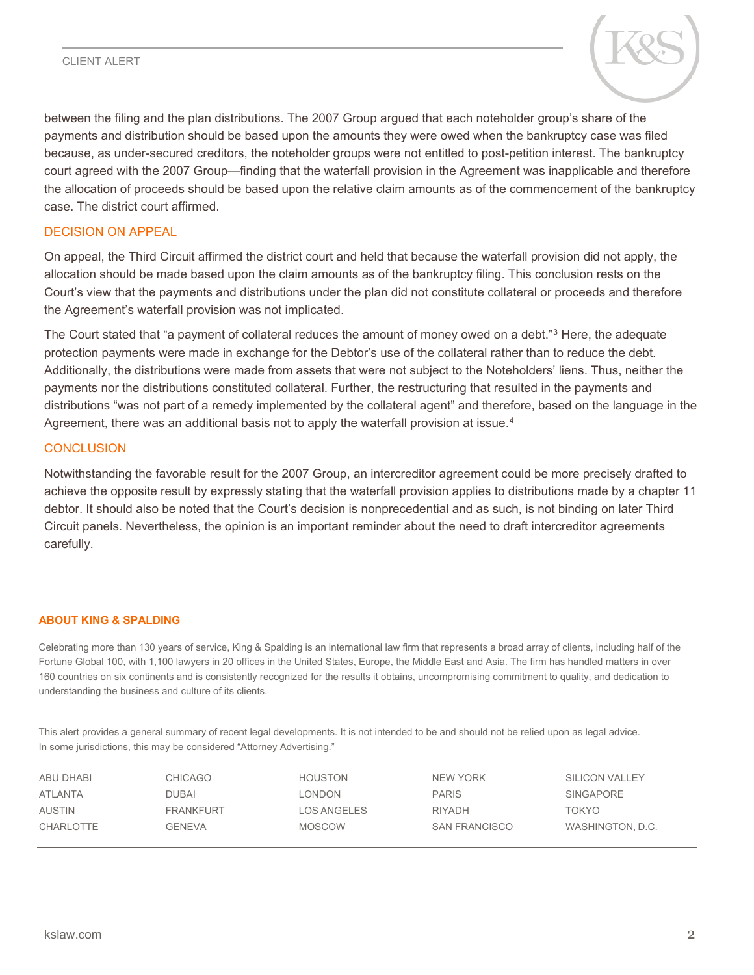#### CLIENT ALERT



between the filing and the plan distributions. The 2007 Group argued that each noteholder group's share of the payments and distribution should be based upon the amounts they were owed when the bankruptcy case was filed because, as under-secured creditors, the noteholder groups were not entitled to post-petition interest. The bankruptcy court agreed with the 2007 Group—finding that the waterfall provision in the Agreement was inapplicable and therefore the allocation of proceeds should be based upon the relative claim amounts as of the commencement of the bankruptcy case. The district court affirmed.

#### DECISION ON APPEAL

On appeal, the Third Circuit affirmed the district court and held that because the waterfall provision did not apply, the allocation should be made based upon the claim amounts as of the bankruptcy filing. This conclusion rests on the Court's view that the payments and distributions under the plan did not constitute collateral or proceeds and therefore the Agreement's waterfall provision was not implicated.

The Court stated that "a payment of collateral reduces the amount of money owed on a debt."<sup>[3](#page-2-2)</sup> Here, the adequate protection payments were made in exchange for the Debtor's use of the collateral rather than to reduce the debt. Additionally, the distributions were made from assets that were not subject to the Noteholders' liens. Thus, neither the payments nor the distributions constituted collateral. Further, the restructuring that resulted in the payments and distributions "was not part of a remedy implemented by the collateral agent" and therefore, based on the language in the Agreement, there was an additional basis not to apply the waterfall provision at issue.<sup>[4](#page-2-3)</sup>

#### **CONCLUSION**

Notwithstanding the favorable result for the 2007 Group, an intercreditor agreement could be more precisely drafted to achieve the opposite result by expressly stating that the waterfall provision applies to distributions made by a chapter 11 debtor. It should also be noted that the Court's decision is nonprecedential and as such, is not binding on later Third Circuit panels. Nevertheless, the opinion is an important reminder about the need to draft intercreditor agreements carefully.

#### **ABOUT KING & SPALDING**

Celebrating more than 130 years of service, King & Spalding is an international law firm that represents a broad array of clients, including half of the Fortune Global 100, with 1,100 lawyers in 20 offices in the United States, Europe, the Middle East and Asia. The firm has handled matters in over 160 countries on six continents and is consistently recognized for the results it obtains, uncompromising commitment to quality, and dedication to understanding the business and culture of its clients.

This alert provides a general summary of recent legal developments. It is not intended to be and should not be relied upon as legal advice. In some jurisdictions, this may be considered "Attorney Advertising."

| ABU DHABI        | CHICAGO          | HOUSTON     | NEW YORK             | <b>SILICON VALLEY</b> |
|------------------|------------------|-------------|----------------------|-----------------------|
| ATLANTA          | DUBAI            | LONDON      | <b>PARIS</b>         | SINGAPORE             |
| <b>AUSTIN</b>    | <b>FRANKFURT</b> | LOS ANGELES | <b>RIYADH</b>        | TOKYO                 |
| <b>CHARLOTTE</b> | <b>GENEVA</b>    | MOSCOW      | <b>SAN FRANCISCO</b> | WASHINGTON, D.C.      |